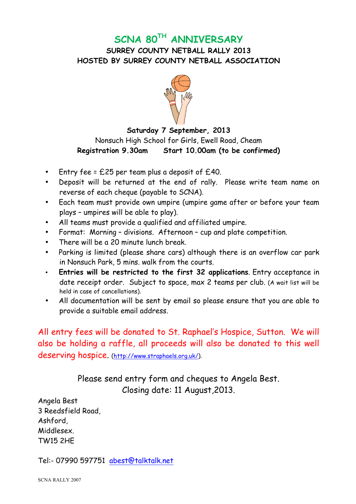## **SCNA 80TH ANNIVERSARY**

**SURREY COUNTY NETBALL RALLY 2013 HOSTED BY SURREY COUNTY NETBALL ASSOCIATION**



## **Saturday 7 September, 2013** Nonsuch High School for Girls, Ewell Road, Cheam **Registration 9.30am Start 10.00am (to be confirmed)**

- Entry fee =  $£25$  per team plus a deposit of  $£40$ .
- Deposit will be returned at the end of rally. Please write team name on reverse of each cheque (payable to SCNA).
- Each team must provide own umpire (umpire game after or before your team plays – umpires will be able to play).
- All teams must provide a qualified and affiliated umpire.
- Format: Morning divisions. Afternoon cup and plate competition.
- There will be a 20 minute lunch break.
- Parking is limited (please share cars) although there is an overflow car park in Nonsuch Park, 5 mins. walk from the courts.
- **Entries will be restricted to the first 32 applications**. Entry acceptance in date receipt order. Subject to space, max 2 teams per club. (A wait list will be held in case of cancellations).
- All documentation will be sent by email so please ensure that you are able to provide a suitable email address.

All entry fees will be donated to St. Raphael's Hospice, Sutton. We will also be holding a raffle, all proceeds will also be donated to this well deserving hospice. (http://www.straphaels.org.uk/).

> Please send entry form and cheques to Angela Best. Closing date: 11 August,2013.

Angela Best 3 Reedsfield Road, Ashford, Middlesex. TW15 2HE

Tel:- 07990 597751 abest@talktalk.net